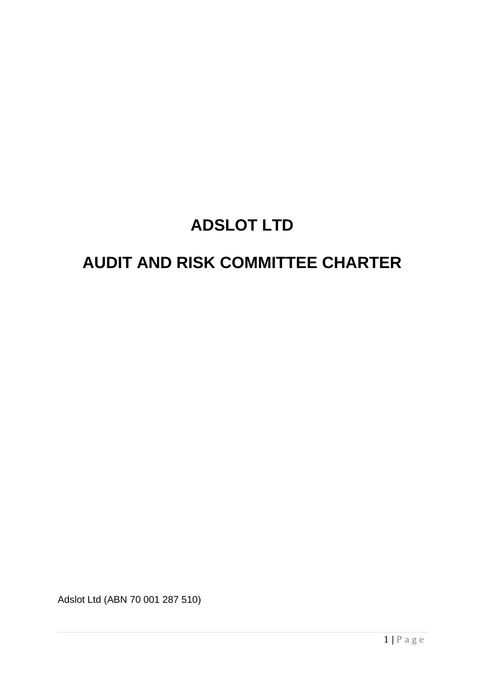# **ADSLOT LTD**

## **AUDIT AND RISK COMMITTEE CHARTER**

Adslot Ltd (ABN 70 001 287 510)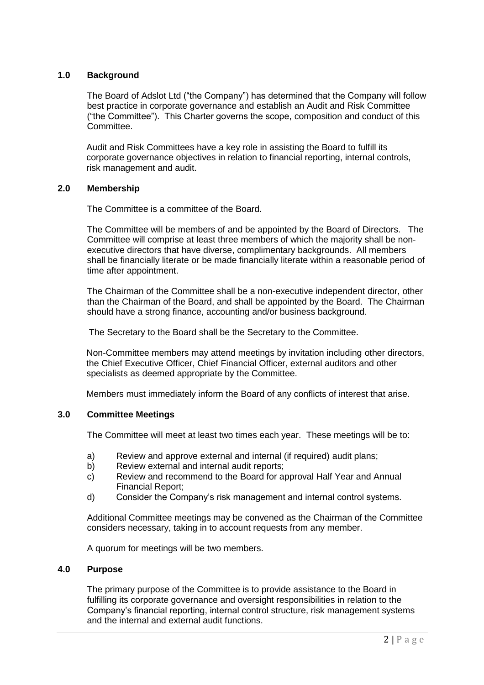## **1.0 Background**

The Board of Adslot Ltd ("the Company") has determined that the Company will follow best practice in corporate governance and establish an Audit and Risk Committee ("the Committee"). This Charter governs the scope, composition and conduct of this Committee.

Audit and Risk Committees have a key role in assisting the Board to fulfill its corporate governance objectives in relation to financial reporting, internal controls, risk management and audit.

## **2.0 Membership**

The Committee is a committee of the Board.

The Committee will be members of and be appointed by the Board of Directors. The Committee will comprise at least three members of which the majority shall be nonexecutive directors that have diverse, complimentary backgrounds. All members shall be financially literate or be made financially literate within a reasonable period of time after appointment.

The Chairman of the Committee shall be a non-executive independent director, other than the Chairman of the Board, and shall be appointed by the Board. The Chairman should have a strong finance, accounting and/or business background.

The Secretary to the Board shall be the Secretary to the Committee.

Non-Committee members may attend meetings by invitation including other directors, the Chief Executive Officer, Chief Financial Officer, external auditors and other specialists as deemed appropriate by the Committee.

Members must immediately inform the Board of any conflicts of interest that arise.

## **3.0 Committee Meetings**

The Committee will meet at least two times each year. These meetings will be to:

- a) Review and approve external and internal (if required) audit plans;
- b) Review external and internal audit reports;
- c) Review and recommend to the Board for approval Half Year and Annual Financial Report;
- d) Consider the Company's risk management and internal control systems.

Additional Committee meetings may be convened as the Chairman of the Committee considers necessary, taking in to account requests from any member.

A quorum for meetings will be two members.

## **4.0 Purpose**

The primary purpose of the Committee is to provide assistance to the Board in fulfilling its corporate governance and oversight responsibilities in relation to the Company's financial reporting, internal control structure, risk management systems and the internal and external audit functions.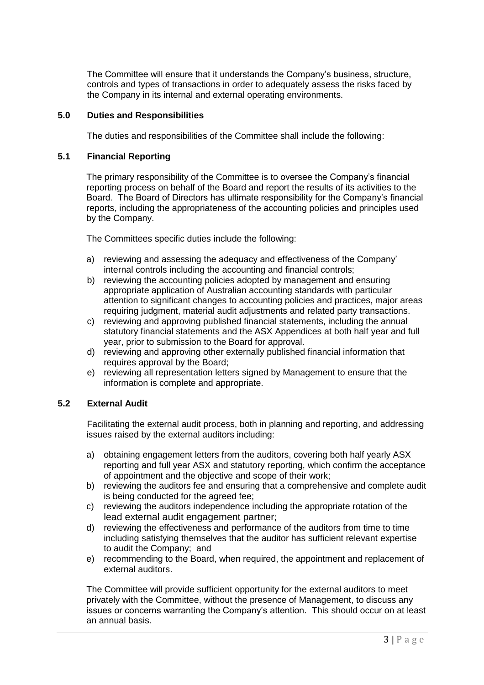The Committee will ensure that it understands the Company's business, structure, controls and types of transactions in order to adequately assess the risks faced by the Company in its internal and external operating environments.

## **5.0 Duties and Responsibilities**

The duties and responsibilities of the Committee shall include the following:

#### **5.1 Financial Reporting**

The primary responsibility of the Committee is to oversee the Company's financial reporting process on behalf of the Board and report the results of its activities to the Board. The Board of Directors has ultimate responsibility for the Company's financial reports, including the appropriateness of the accounting policies and principles used by the Company.

The Committees specific duties include the following:

- a) reviewing and assessing the adequacy and effectiveness of the Company' internal controls including the accounting and financial controls;
- b) reviewing the accounting policies adopted by management and ensuring appropriate application of Australian accounting standards with particular attention to significant changes to accounting policies and practices, major areas requiring judgment, material audit adjustments and related party transactions.
- c) reviewing and approving published financial statements, including the annual statutory financial statements and the ASX Appendices at both half year and full year, prior to submission to the Board for approval.
- d) reviewing and approving other externally published financial information that requires approval by the Board;
- e) reviewing all representation letters signed by Management to ensure that the information is complete and appropriate.

## **5.2 External Audit**

Facilitating the external audit process, both in planning and reporting, and addressing issues raised by the external auditors including:

- a) obtaining engagement letters from the auditors, covering both half yearly ASX reporting and full year ASX and statutory reporting, which confirm the acceptance of appointment and the objective and scope of their work;
- b) reviewing the auditors fee and ensuring that a comprehensive and complete audit is being conducted for the agreed fee;
- c) reviewing the auditors independence including the appropriate rotation of the lead external audit engagement partner;
- d) reviewing the effectiveness and performance of the auditors from time to time including satisfying themselves that the auditor has sufficient relevant expertise to audit the Company; and
- e) recommending to the Board, when required, the appointment and replacement of external auditors.

The Committee will provide sufficient opportunity for the external auditors to meet privately with the Committee, without the presence of Management, to discuss any issues or concerns warranting the Company's attention. This should occur on at least an annual basis.